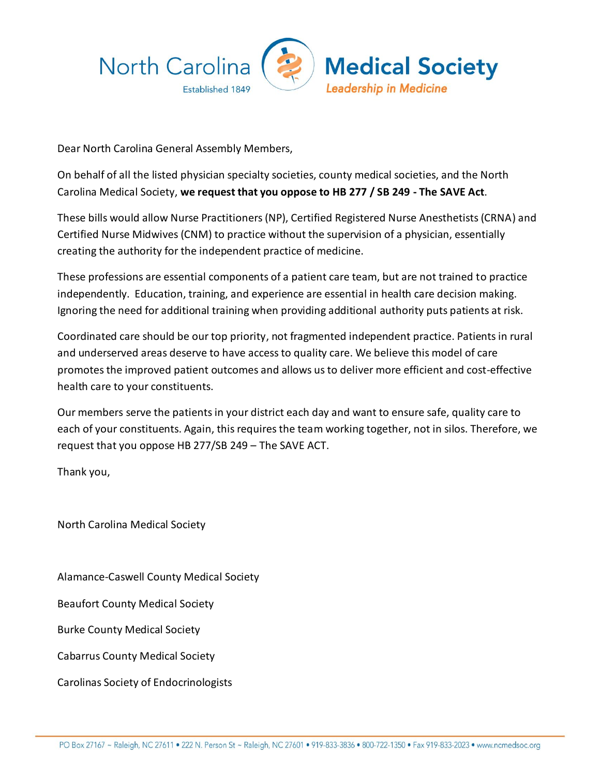

Dear North Carolina General Assembly Members,

On behalf of all the listed physician specialty societies, county medical societies, and the North Carolina Medical Society, **we request that you oppose to HB 277 / SB 249 - The SAVE Act**.

These bills would allow Nurse Practitioners (NP), Certified Registered Nurse Anesthetists (CRNA) and Certified Nurse Midwives (CNM) to practice without the supervision of a physician, essentially creating the authority for the independent practice of medicine.

These professions are essential components of a patient care team, but are not trained to practice independently. Education, training, and experience are essential in health care decision making. Ignoring the need for additional training when providing additional authority puts patients at risk.

Coordinated care should be our top priority, not fragmented independent practice. Patients in rural and underserved areas deserve to have access to quality care. We believe this model of care promotes the improved patient outcomes and allows us to deliver more efficient and cost-effective health care to your constituents.

Our members serve the patients in your district each day and want to ensure safe, quality care to each of your constituents. Again, this requires the team working together, not in silos. Therefore, we request that you oppose HB 277/SB 249 – The SAVE ACT.

Thank you,

North Carolina Medical Society

Alamance-Caswell County Medical Society

Beaufort County Medical Society

Burke County Medical Society

Cabarrus County Medical Society

Carolinas Society of Endocrinologists